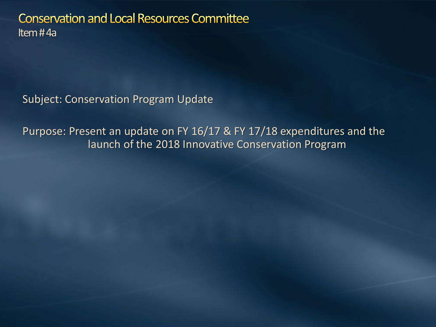**Conservation and Local Resources Committee** Item # 4a

Subject: Conservation Program Update

Purpose: Present an update on FY 16/17 & FY 17/18 expenditures and the launch of the 2018 Innovative Conservation Program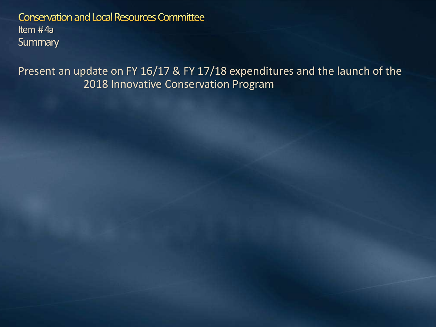**Conservation and Local Resources Committee** Item # 4a **Summary** 

Present an update on FY 16/17 & FY 17/18 expenditures and the launch of the 2018 Innovative Conservation Program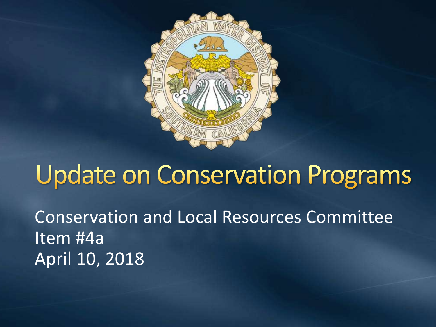

### **Update on Conservation Programs**

Conservation and Local Resources Committee Item #4a April 10, 2018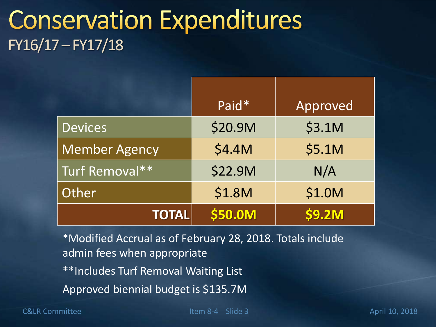#### **Conservation Expenditures** FY16/17 –FY17/18

|                      | Paid*          | Approved |
|----------------------|----------------|----------|
| <b>Devices</b>       | \$20.9M        | \$3.1M   |
| <b>Member Agency</b> | \$4.4M         | \$5.1M   |
| Turf Removal**       | <b>\$22.9M</b> | N/A      |
| Other                | \$1.8M         | \$1.0M   |
| <b>TOTAL</b>         | \$50.0M        | \$9.2M   |

\*Modified Accrual as of February 28, 2018. Totals include admin fees when appropriate \*\*Includes Turf Removal Waiting List Approved biennial budget is \$135.7M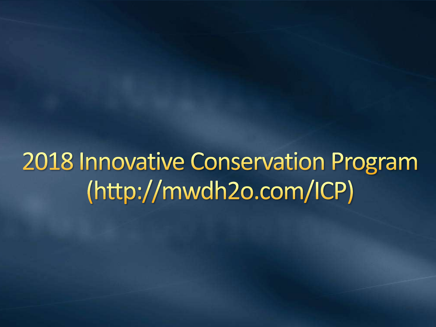**2018 Innovative Conservation Program** (http://mwdh2o.com/ICP)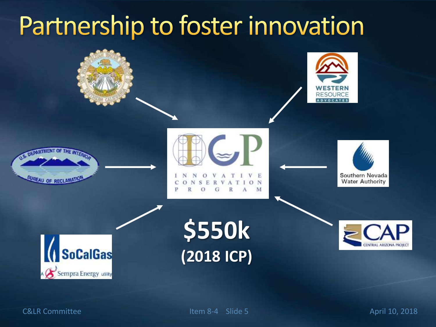# Partnership to foster innovation









M





**\$550k (2018 ICP)**



**C&LR Committee** 

5 April 10, 2018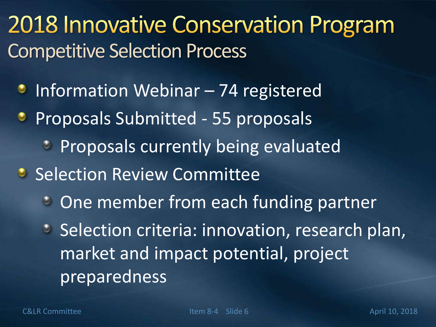### **2018 Innovative Conservation Program** Competitive Selection Process

- $\bullet$  Information Webinar 74 registered
- **Proposals Submitted 55 proposals** 
	- **Proposals currently being evaluated**
- **Selection Review Committee** 
	- **C** One member from each funding partner
	- **Selection criteria: innovation, research plan,** market and impact potential, project preparedness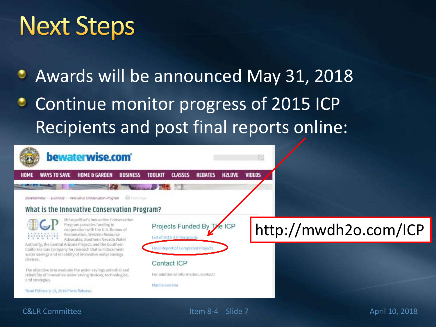## **Next Steps**

Awards will be announced May 31, 2018

Continue monitor progress of 2015 ICP Recipients and post final reports online:



C&LR Committee Item 8-4 Slide 7 April 10, 2018